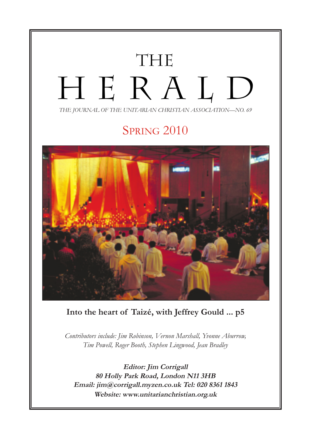

*Contributors include: Jim Robinson, Vernon Marshall, Yvonne Aburrow, Tim Powell, Roger Booth, Stephen Lingwood, Jean Bradley*

**Editor: Jim Corrigall 80 Holly Park Road, London N11 3HB Email: jim@corrigall.myzen.co.uk Tel: 020 8361 1843 Website: www.unitarianchristian.org.uk**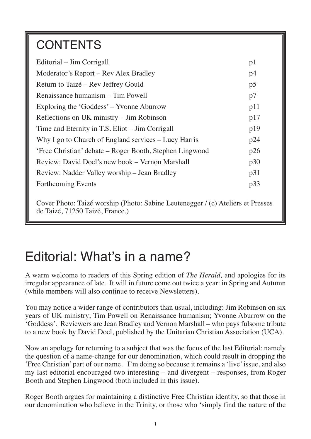# **CONTENTS**

| Editorial – Jim Corrigall                                                                                          | p1  |
|--------------------------------------------------------------------------------------------------------------------|-----|
| Moderator's Report – Rev Alex Bradley                                                                              | p4  |
| Return to Taizé – Rev Jeffrey Gould                                                                                | p5  |
| Renaissance humanism – Tim Powell                                                                                  | p7  |
| Exploring the 'Goddess' – Yvonne Aburrow                                                                           | p11 |
| Reflections on UK ministry - Jim Robinson                                                                          | p17 |
| Time and Eternity in T.S. Eliot – Jim Corrigall                                                                    | p19 |
| Why I go to Church of England services – Lucy Harris                                                               | p24 |
| 'Free Christian' debate – Roger Booth, Stephen Lingwood                                                            | p26 |
| Review: David Doel's new book – Vernon Marshall                                                                    | p30 |
| Review: Nadder Valley worship – Jean Bradley                                                                       | p31 |
| Forthcoming Events                                                                                                 | p33 |
| Cover Photo: Taizé worship (Photo: Sabine Leutenegger / (c) Ateliers et Presses<br>de Taizé, 71250 Taizé, France.) |     |

# Editorial: What's in a name?

A warm welcome to readers of this Spring edition of *The Herald,* and apologies for its irregular appearance of late. It will in future come out twice a year: in Spring and Autumn (while members will also continue to receive Newsletters).

You may notice a wider range of contributors than usual, including: Jim Robinson on six years of UK ministry; Tim Powell on Renaissance humanism; Yvonne Aburrow on the 'Goddess'. Reviewers are Jean Bradley and Vernon Marshall – who pays fulsome tribute to a new book by David Doel, published by the Unitarian Christian Association (UCA).

Now an apology for returning to a subject that was the focus of the last Editorial: namely the question of a name-change for our denomination, which could result in dropping the 'Free Christian' part of our name. I'm doing so because it remains a 'live'issue, and also my last editorial encouraged two interesting – and divergent – responses, from Roger Booth and Stephen Lingwood (both included in this issue).

Roger Booth argues for maintaining a distinctive Free Christian identity, so that those in our denomination who believe in the Trinity, or those who 'simply find the nature of the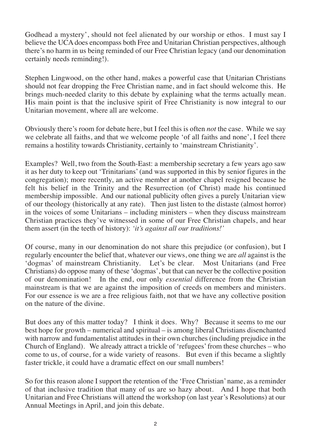Godhead a mystery', should not feel alienated by our worship or ethos. I must say I believe the UCA does encompass both Free and Unitarian Christian perspectives, although there's no harm in us being reminded of our Free Christian legacy (and our denomination certainly needs reminding!).

Stephen Lingwood, on the other hand, makes a powerful case that Unitarian Christians should not fear dropping the Free Christian name, and in fact should welcome this. He brings much-needed clarity to this debate by explaining what the terms actually mean. His main point is that the inclusive spirit of Free Christianity is now integral to our Unitarian movement, where all are welcome.

Obviously there's room for debate here, but I feel this is often *not* the case. While we say we celebrate all faiths, and that we welcome people 'of all faiths and none', I feel there remains a hostility towards Christianity, certainly to 'mainstream Christianity'.

Examples? Well, two from the South-East: a membership secretary a few years ago saw it as her duty to keep out 'Trinitarians'(and was supported in this by senior figures in the congregation); more recently, an active member at another chapel resigned because he felt his belief in the Trinity and the Resurrection (of Christ) made his continued membership impossible. And our national publicity often gives a purely Unitarian view of our theology (historically at any rate). Then just listen to the distaste (almost horror) in the voices of some Unitarians – including ministers – when they discuss mainstream Christian practices they've witnessed in some of our Free Christian chapels, and hear them assert (in the teeth of history): *'it's against all our traditions!'*

Of course, many in our denomination do not share this prejudice (or confusion), but I regularly encounter the belief that, whatever our views, one thing we are *all* against is the 'dogmas' of mainstream Christianity. Let's be clear. Most Unitarians (and Free Christians) do oppose many of these 'dogmas', but that can never be the collective position of our denomination! In the end, our only *essential* difference from the Christian mainstream is that we are against the imposition of creeds on members and ministers. For our essence is we are a free religious faith, not that we have any collective position on the nature of the divine.

But does any of this matter today? I think it does. Why? Because it seems to me our best hope for growth – numerical and spiritual – is among liberal Christians disenchanted with narrow and fundamentalist attitudes in their own churches (including prejudice in the Church of England). We already attract a trickle of 'refugees'from these churches – who come to us, of course, for a wide variety of reasons. But even if this became a slightly faster trickle, it could have a dramatic effect on our small numbers!

So for this reason alone I support the retention of the 'Free Christian' name, as a reminder of that inclusive tradition that many of us are so hazy about. And I hope that both Unitarian and Free Christians will attend the workshop (on last year's Resolutions) at our Annual Meetings in April, and join this debate.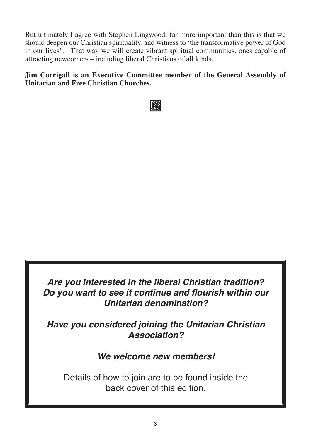But ultimately I agree with Stephen Lingwood: far more important than this is that we should deepen our Christian spirituality, and witness to 'the transformative power of God in our lives'. That way we will create vibrant spiritual communities, ones capable of attracting newcomers – including liberal Christians of all kinds.

**Jim Corrigall is an Executive Committee member of the General Assembly of Unitarian and Free Christian Churches.**



## *Are you interested in the liberal Christian tradition? Do you want to see it continue and flourish within our Unitarian denomination?*

*Have you considered joining the Unitarian Christian Association?*

*We welcome new members!*

Details of how to join are to be found inside the back cover of this edition.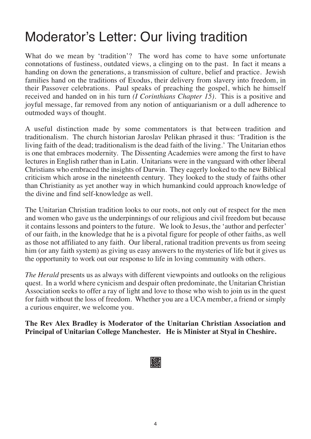# Moderator's Letter: Our living tradition

What do we mean by 'tradition'? The word has come to have some unfortunate connotations of fustiness, outdated views, a clinging on to the past. In fact it means a handing on down the generations, a transmission of culture, belief and practice. Jewish families hand on the traditions of Exodus, their delivery from slavery into freedom, in their Passover celebrations. Paul speaks of preaching the gospel, which he himself received and handed on in his turn *(I Corinthians Chapter 15).* This is a positive and joyful message, far removed from any notion of antiquarianism or a dull adherence to outmoded ways of thought.

A useful distinction made by some commentators is that between tradition and traditionalism. The church historian Jaroslav Pelikan phrased it thus: 'Tradition is the living faith of the dead; traditionalism is the dead faith of the living.' The Unitarian ethos is one that embraces modernity. The Dissenting Academies were among the first to have lectures in English rather than in Latin. Unitarians were in the vanguard with other liberal Christians who embraced the insights of Darwin. They eagerly looked to the new Biblical criticism which arose in the nineteenth century. They looked to the study of faiths other than Christianity as yet another way in which humankind could approach knowledge of the divine and find self-knowledge as well.

The Unitarian Christian tradition looks to our roots, not only out of respect for the men and women who gave us the underpinnings of our religious and civil freedom but because it contains lessons and pointers to the future. We look to Jesus, the 'author and perfecter' of our faith, in the knowledge that he is a pivotal figure for people of other faiths, as well as those not affiliated to any faith. Our liberal, rational tradition prevents us from seeing him (or any faith system) as giving us easy answers to the mysteries of life but it gives us the opportunity to work out our response to life in loving community with others.

*The Herald* presents us as always with different viewpoints and outlooks on the religious quest. In a world where cynicism and despair often predominate, the Unitarian Christian Association seeks to offer a ray of light and love to those who wish to join us in the quest for faith without the loss of freedom. Whether you are a UCA member, a friend or simply a curious enquirer, we welcome you.

**The Rev Alex Bradley is Moderator of the Unitarian Christian Association and Principal of Unitarian College Manchester. He is Minister at Styal in Cheshire.**

m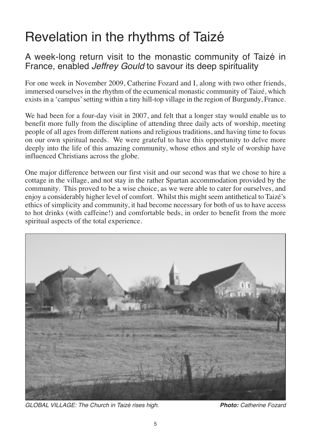# Revelation in the rhythms of Taizé

## A week-long return visit to the monastic community of Taizé in France, enabled *Jeffrey Gould* to savour its deep spirituality

For one week in November 2009, Catherine Fozard and I, along with two other friends, immersed ourselves in the rhythm of the ecumenical monastic community of Taizé, which exists in a 'campus'setting within a tiny hill-top village in the region of Burgundy, France.

We had been for a four-day visit in 2007, and felt that a longer stay would enable us to benefit more fully from the discipline of attending three daily acts of worship, meeting people of all ages from different nations and religious traditions, and having time to focus on our own spiritual needs. We were grateful to have this opportunity to delve more deeply into the life of this amazing community, whose ethos and style of worship have influenced Christians across the globe.

One major difference between our first visit and our second was that we chose to hire a cottage in the village, and not stay in the rather Spartan accommodation provided by the community. This proved to be a wise choice, as we were able to cater for ourselves, and enjoy a considerably higher level of comfort. Whilst this might seem antithetical to Taizé's ethics of simplicity and community, it had become necessary for both of us to have access to hot drinks (with caffeine!) and comfortable beds, in order to benefit from the more spiritual aspects of the total experience.



*GLOBAL VILLAGE: The Church in Taizé rises high. Photo: Catherine Fozard*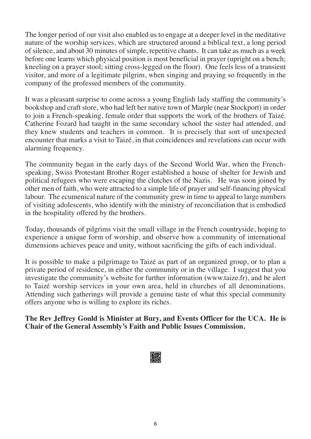The longer period of our visit also enabled us to engage at a deeper level in the meditative nature of the worship services, which are structured around a biblical text, a long period of silence, and about 30 minutes of simple, repetitive chants. It can take as much as a week before one learns which physical position is most beneficial in prayer (upright on a bench; kneeling on a prayer stool; sitting cross-legged on the floor). One feels less of a transient visitor, and more of a legitimate pilgrim, when singing and praying so frequently in the company of the professed members of the community.

It was a pleasant surprise to come across a young English lady staffing the community's bookshop and craft store, who had left her native town of Marple (near Stockport) in order to join a French-speaking, female order that supports the work of the brothers of Taizé. Catherine Fozard had taught in the same secondary school the sister had attended, and they knew students and teachers in common. It is precisely that sort of unexpected encounter that marks a visit to Taizé, in that coincidences and revelations can occur with alarming frequency.

The community began in the early days of the Second World War, when the Frenchspeaking, Swiss Protestant Brother Roger established a house of shelter for Jewish and political refugees who were escaping the clutches of the Nazis. He was soon joined by other men of faith, who were attracted to a simple life of prayer and self-financing physical labour. The ecumenical nature of the community grew in time to appeal to large numbers of visiting adolescents, who identify with the ministry of reconciliation that is embodied in the hospitality offered by the brothers.

Today, thousands of pilgrims visit the small village in the French countryside, hoping to experience a unique form of worship, and observe how a community of international dimensions achieves peace and unity, without sacrificing the gifts of each individual.

It is possible to make a pilgrimage to Taizé as part of an organized group, or to plan a private period of residence, in either the community or in the village. I suggest that you investigate the community's website for further information (www.taize.fr), and be alert to Taizé worship services in your own area, held in churches of all denominations. Attending such gatherings will provide a genuine taste of what this special community offers anyone who is willing to explore its riches.

**The Rev Jeffrey Gould is Minister at Bury, and Events Officer for the UCA. He is Chair of the General Assembly's Faith and Public Issues Commission.**

## m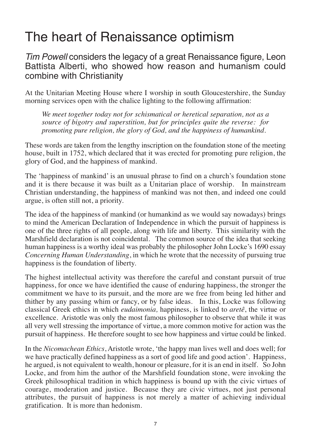# The heart of Renaissance optimism

*Tim Powell* considers the legacy of a great Renaissance figure, Leon Battista Alberti, who showed how reason and humanism could combine with Christianity

At the Unitarian Meeting House where I worship in south Gloucestershire, the Sunday morning services open with the chalice lighting to the following affirmation:

*We meet together today not for schismatical or heretical separation, not as a source of bigotry and superstition, but for principles quite the reverse: for promoting pure religion, the glory of God, and the happiness of humankind.*

These words are taken from the lengthy inscription on the foundation stone of the meeting house, built in 1752, which declared that it was erected for promoting pure religion, the glory of God, and the happiness of mankind.

The 'happiness of mankind' is an unusual phrase to find on a church's foundation stone and it is there because it was built as a Unitarian place of worship. In mainstream Christian understanding, the happiness of mankind was not then, and indeed one could argue, is often still not, a priority.

The idea of the happiness of mankind (or humankind as we would say nowadays) brings to mind the American Declaration of Independence in which the pursuit of happiness is one of the three rights of all people, along with life and liberty. This similarity with the Marshfield declaration is not coincidental. The common source of the idea that seeking human happiness is a worthy ideal was probably the philosopher John Locke's 1690 essay *Concerning Human Understanding*, in which he wrote that the necessity of pursuing true happiness is the foundation of liberty.

The highest intellectual activity was therefore the careful and constant pursuit of true happiness, for once we have identified the cause of enduring happiness, the stronger the commitment we have to its pursuit, and the more are we free from being led hither and thither by any passing whim or fancy, or by false ideas. In this, Locke was following classical Greek ethics in which *eudaimonia,* happiness, is linked to *aretê*, the virtue or excellence. Aristotle was only the most famous philosopher to observe that while it was all very well stressing the importance of virtue, a more common motive for action was the pursuit of happiness. He therefore sought to see how happiness and virtue could be linked.

In the *Nicomachean Ethics*, Aristotle wrote, 'the happy man lives well and does well; for we have practically defined happiness as a sort of good life and good action'. Happiness, he argued, is not equivalent to wealth, honour or pleasure, for it is an end in itself. So John Locke, and from him the author of the Marshfield foundation stone, were invoking the Greek philosophical tradition in which happiness is bound up with the civic virtues of courage, moderation and justice. Because they are civic virtues, not just personal attributes, the pursuit of happiness is not merely a matter of achieving individual gratification. It is more than hedonism.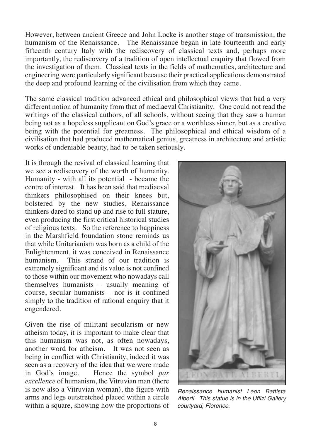However, between ancient Greece and John Locke is another stage of transmission, the humanism of the Renaissance. The Renaissance began in late fourteenth and early fifteenth century Italy with the rediscovery of classical texts and, perhaps more importantly, the rediscovery of a tradition of open intellectual enquiry that flowed from the investigation of them. Classical texts in the fields of mathematics, architecture and engineering were particularly significant because their practical applications demonstrated the deep and profound learning of the civilisation from which they came.

The same classical tradition advanced ethical and philosophical views that had a very different notion of humanity from that of mediaeval Christianity. One could not read the writings of the classical authors, of all schools, without seeing that they saw a human being not as a hopeless supplicant on God's grace or a worthless sinner, but as a creative being with the potential for greatness. The philosophical and ethical wisdom of a civilisation that had produced mathematical genius, greatness in architecture and artistic works of undeniable beauty, had to be taken seriously.

It is through the revival of classical learning that we see a rediscovery of the worth of humanity. Humanity - with all its potential - became the centre of interest. It has been said that mediaeval thinkers philosophised on their knees but, bolstered by the new studies, Renaissance thinkers dared to stand up and rise to full stature, even producing the first critical historical studies of religious texts. So the reference to happiness in the Marshfield foundation stone reminds us that while Unitarianism was born as a child of the Enlightenment, it was conceived in Renaissance<br>humanism. This strand of our tradition is This strand of our tradition is extremely significant and its value is not confined to those within our movement who nowadays call themselves humanists – usually meaning of course, secular humanists – nor is it confined simply to the tradition of rational enquiry that it engendered.

Given the rise of militant secularism or new atheism today, it is important to make clear that this humanism was not, as often nowadays, another word for atheism. It was not seen as being in conflict with Christianity, indeed it was seen as a recovery of the idea that we were made<br>in God's image. Hence the symbol par Hence the symbol *par excellence* of humanism, the Vitruvian man (there is now also a Vitruvian woman), the figure with arms and legs outstretched placed within a circle within a square, showing how the proportions of



*Renaissance humanist Leon Battista Alberti. This statue is in the Uffizi Gallery courtyard, Florence.*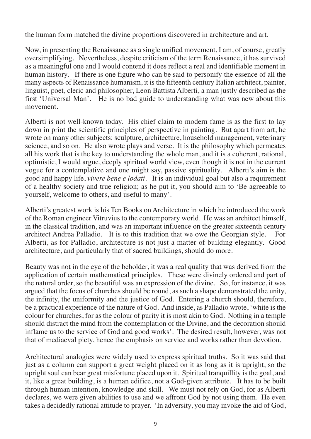the human form matched the divine proportions discovered in architecture and art.

Now, in presenting the Renaissance as a single unified movement, I am, of course, greatly oversimplifying. Nevertheless, despite criticism of the term Renaissance, it has survived as a meaningful one and I would contend it does reflect a real and identifiable moment in human history. If there is one figure who can be said to personify the essence of all the many aspects of Renaissance humanism, it is the fifteenth century Italian architect, painter, linguist, poet, cleric and philosopher, Leon Battista Alberti, a man justly described as the first 'Universal Man'. He is no bad guide to understanding what was new about this movement.

Alberti is not well-known today. His chief claim to modern fame is as the first to lay down in print the scientific principles of perspective in painting. But apart from art, he wrote on many other subjects: sculpture, architecture, household management, veterinary science, and so on. He also wrote plays and verse. It is the philosophy which permeates all his work that is the key to understanding the whole man, and it is a coherent, rational, optimistic, I would argue, deeply spiritual world view, even though it is not in the current vogue for a contemplative and one might say, passive spirituality. Alberti's aim is the good and happy life, *vivere bene e lodati*. It is an individual goal but also a requirement of a healthy society and true religion; as he put it, you should aim to 'Be agreeable to yourself, welcome to others, and useful to many'.

Alberti's greatest work is his Ten Books on Architecture in which he introduced the work of the Roman engineer Vitruvius to the contemporary world. He was an architect himself, in the classical tradition, and was an important influence on the greater sixteenth century architect Andrea Palladio. It is to this tradition that we owe the Georgian style. For Alberti, as for Palladio, architecture is not just a matter of building elegantly. Good architecture, and particularly that of sacred buildings, should do more.

Beauty was not in the eye of the beholder, it was a real quality that was derived from the application of certain mathematical principles. These were divinely ordered and part of the natural order, so the beautiful was an expression of the divine. So, for instance, it was argued that the focus of churches should be round, as such a shape demonstrated the unity, the infinity, the uniformity and the justice of God. Entering a church should, therefore, be a practical experience of the nature of God. And inside, as Palladio wrote, 'white is the colour for churches, for as the colour of purity it is most akin to God. Nothing in a temple should distract the mind from the contemplation of the Divine, and the decoration should inflame us to the service of God and good works'. The desired result, however, was not that of mediaeval piety, hence the emphasis on service and works rather than devotion.

Architectural analogies were widely used to express spiritual truths. So it was said that just as a column can support a great weight placed on it as long as it is upright, so the upright soul can bear great misfortune placed upon it. Spiritual tranquillity is the goal, and it, like a great building, is a human edifice, not a God-given attribute. It has to be built through human intention, knowledge and skill. We must not rely on God, for as Alberti declares, we were given abilities to use and we affront God by not using them. He even takes a decidedly rational attitude to prayer. 'In adversity, you may invoke the aid of God,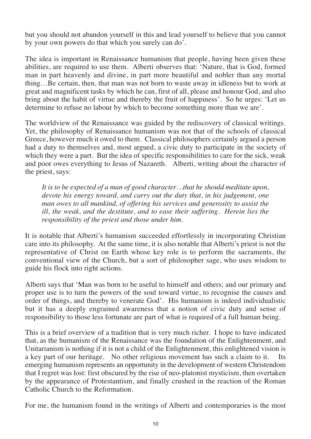but you should not abandon yourself in this and lead yourself to believe that you cannot by your own powers do that which you surely can do'.

The idea is important in Renaissance humanism that people, having been given these abilities, are required to use them. Alberti observes that: 'Nature, that is God, formed man in part heavenly and divine, in part more beautiful and nobler than any mortal thing…Be certain, then, that man was not born to waste away in idleness but to work at great and magnificent tasks by which he can, first of all, please and honour God, and also bring about the habit of virtue and thereby the fruit of happiness'. So he urges: 'Let us determine to refuse no labour by which to become something more than we are'.

The worldview of the Renaissance was guided by the rediscovery of classical writings. Yet, the philosophy of Renaissance humanism was not that of the schools of classical Greece, however much it owed to them. Classical philosophers certainly argued a person had a duty to themselves and, most argued, a civic duty to participate in the society of which they were a part. But the idea of specific responsibilities to care for the sick, weak and poor owes everything to Jesus of Nazareth. Alberti, writing about the character of the priest, says:

*It is to be expected of a man of good character…that he should meditate upon, devote his energy toward, and carry out the duty that, in his judgement, one man owes to all mankind, of offering his services and generosity to assist the ill, the weak, and the destitute, and to ease their suffering. Herein lies the responsibility of the priest and those under him.*

It is notable that Alberti's humanism succeeded effortlessly in incorporating Christian care into its philosophy. At the same time, it is also notable that Alberti's priest is not the representative of Christ on Earth whose key role is to perform the sacraments, the conventional view of the Church, but a sort of philosopher sage, who uses wisdom to guide his flock into right actions.

Alberti says that 'Man was born to be useful to himself and others; and our primary and proper use is to turn the powers of the soul toward virtue, to recognise the causes and order of things, and thereby to venerate God'. His humanism is indeed individualistic but it has a deeply engrained awareness that a notion of civic duty and sense of responsibility to those less fortunate are part of what is required of a full human being.

This is a brief overview of a tradition that is very much richer. I hope to have indicated that, as the humanism of the Renaissance was the foundation of the Enlightenment, and Unitarianism is nothing if it is not a child of the Enlightenment, this enlightened vision is a key part of our heritage. No other religious movement has such a claim to it. Its emerging humanism represents an opportunity in the development of western Christendom that I regret was lost: first obscured by the rise of neo-platonist mysticism, then overtaken by the appearance of Protestantism, and finally crushed in the reaction of the Roman Catholic Church to the Reformation.

For me, the humanism found in the writings of Alberti and contemporaries is the most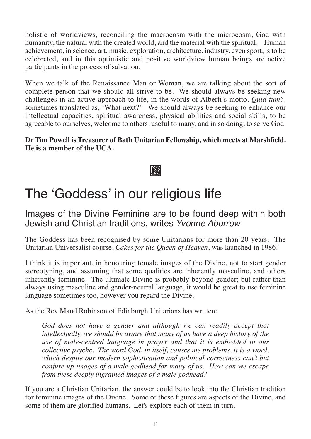holistic of worldviews, reconciling the macrocosm with the microcosm, God with humanity, the natural with the created world, and the material with the spiritual. Human achievement, in science, art, music, exploration, architecture, industry, even sport, is to be celebrated, and in this optimistic and positive worldview human beings are active participants in the process of salvation.

When we talk of the Renaissance Man or Woman, we are talking about the sort of complete person that we should all strive to be. We should always be seeking new challenges in an active approach to life, in the words of Alberti's motto, *Quid tum?,* sometimes translated as, 'What next?' We should always be seeking to enhance our intellectual capacities, spiritual awareness, physical abilities and social skills, to be agreeable to ourselves, welcome to others, useful to many, and in so doing, to serve God.

### **Dr Tim Powell is Treasurer of Bath Unitarian Fellowship, which meets at Marshfield. He is a member of the UCA.**



# The ʻGoddess' in our religious life

Images of the Divine Feminine are to be found deep within both Jewish and Christian traditions, writes *Yvonne Aburrow*

The Goddess has been recognised by some Unitarians for more than 20 years. The Unitarian Universalist course, *Cakes for the Queen of Heaven*, was launched in 1986. **1**

I think it is important, in honouring female images of the Divine, not to start gender stereotyping, and assuming that some qualities are inherently masculine, and others inherently feminine. The ultimate Divine is probably beyond gender; but rather than always using masculine and gender-neutral language, it would be great to use feminine language sometimes too, however you regard the Divine.

As the Rev Maud Robinson of Edinburgh Unitarians has written:

*God does not have a gender and although we can readily accept that intellectually, we should be aware that many of us have a deep history of the use of male-centred language in prayer and that it is embedded in our collective psyche. The word God, in itself, causes me problems, it is a word, which despite our modern sophistication and political correctness can't but conjure up images of a male godhead for many of us. How can we escape from these deeply ingrained images of a male godhead?*

If you are a Christian Unitarian, the answer could be to look into the Christian tradition for feminine images of the Divine. Some of these figures are aspects of the Divine, and some of them are glorified humans. Let's explore each of them in turn.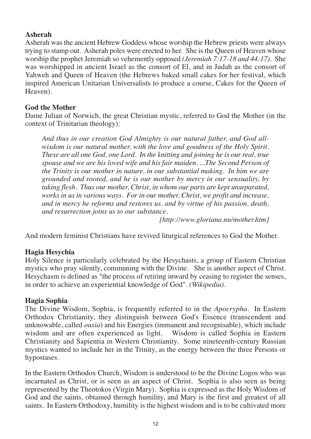### **Asherah**

Asherah was the ancient Hebrew Goddess whose worship the Hebrew priests were always trying to stamp out. Asherah poles were erected to her. She is the Queen of Heaven whose worship the prophet Jeremiah so vehemently opposed *(Jeremiah 7:17-18 and 44:17)*. She was worshipped in ancient Israel as the consort of El, and in Judah as the consort of Yahweh and Queen of Heaven (the Hebrews baked small cakes for her festival, which inspired American Unitarian Universalists to produce a course, Cakes for the Queen of Heaven).

#### **God the Mother**

Dame Julian of Norwich, the great Christian mystic, referred to God the Mother (in the context of Trinitarian theology):

*And thus in our creation God Almighty is our natural father, and God allwisdom is our natural mother, with the love and goodness of the Holy Spirit. These are all one God, one Lord. In the knitting and joining he is our real, true spouse and we are his loved wife and his fair maiden. ...The Second Person of the Trinity is our mother in nature, in our substantial making. In him we are grounded and rooted, and he is our mother by mercy in our sensuality, by taking flesh. Thus our mother, Christ, in whom our parts are kept unseparated, works in us in various ways. For in our mother, Christ, we profit and increase, and in mercy he reforms and restores us, and by virtue of his passion, death, and resurrection joins us to our substance.*

*[http://www.gloriana.nu/mother.htm]*

And modern feminist Christians have revived liturgical references to God the Mother.

### **Hagia Hesychia**

Holy Silence is particularly celebrated by the Hesychasts, a group of Eastern Christian mystics who pray silently, communing with the Divine. She is another aspect of Christ. Hesychasm is defined as "the process of retiring inward by ceasing to register the senses, in order to achieve an experiential knowledge of God". *(Wikipedia)*.

#### **Hagia Sophia**

The Divine Wisdom, Sophia, is frequently referred to in the *Apocrypha.* In Eastern Orthodox Christianity, they distinguish between God's Essence (transcendent and unknowable, called *ousia*) and his Energies (immanent and recognisable), which include wisdom and are often experienced as light. Wisdom is called Sophia in Eastern Christianity and Sapientia in Western Christianity. Some nineteenth-century Russian mystics wanted to include her in the Trinity, as the energy between the three Persons or hypostases.

In the Eastern Orthodox Church, Wisdom is understood to be the Divine Logos who was incarnated as Christ, or is seen as an aspect of Christ. Sophia is also seen as being represented by the Theotokos (Virgin Mary). Sophia is expressed as the Holy Wisdom of God and the saints, obtained through humility, and Mary is the first and greatest of all saints. In Eastern Orthodoxy, humility is the highest wisdom and is to be cultivated more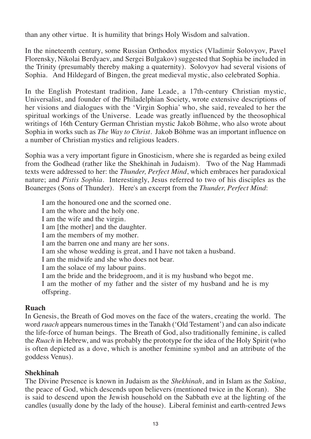than any other virtue. It is humility that brings Holy Wisdom and salvation.

In the nineteenth century, some Russian Orthodox mystics (Vladimir Solovyov, Pavel Florensky, Nikolai Berdyaev, and Sergei Bulgakov) suggested that Sophia be included in the Trinity (presumably thereby making a quaternity). Solovyov had several visions of Sophia. And Hildegard of Bingen, the great medieval mystic, also celebrated Sophia.

In the English Protestant tradition, Jane Leade, a 17th-century Christian mystic, Universalist, and founder of the Philadelphian Society, wrote extensive descriptions of her visions and dialogues with the 'Virgin Sophia' who, she said, revealed to her the spiritual workings of the Universe. Leade was greatly influenced by the theosophical writings of 16th Century German Christian mystic Jakob Böhme, who also wrote about Sophia in works such as *The Way to Christ.* Jakob Böhme was an important influence on a number of Christian mystics and religious leaders.

Sophia was a very important figure in Gnosticism, where she is regarded as being exiled from the Godhead (rather like the Shekhinah in Judaism). Two of the Nag Hammadi texts were addressed to her: the *Thunder, Perfect Mind*, which embraces her paradoxical nature; and *Pistis Sophia*. Interestingly, Jesus referred to two of his disciples as the Boanerges (Sons of Thunder). Here's an excerpt from the *Thunder, Perfect Mind*:

I am the honoured one and the scorned one.

I am the whore and the holy one.

I am the wife and the virgin.

I am [the mother] and the daughter.

I am the members of my mother.

I am the barren one and many are her sons.

I am she whose wedding is great, and I have not taken a husband.

I am the midwife and she who does not bear.

I am the solace of my labour pains.

I am the bride and the bridegroom, and it is my husband who begot me.

I am the mother of my father and the sister of my husband and he is my offspring.

#### **Ruach**

In Genesis, the Breath of God moves on the face of the waters, creating the world. The word *ruach* appears numerous times in the Tanakh ('Old Testament') and can also indicate the life-force of human beings. The Breath of God, also traditionally feminine, is called the *Ruach* in Hebrew, and was probably the prototype for the idea of the Holy Spirit (who is often depicted as a dove, which is another feminine symbol and an attribute of the goddess Venus).

### **Shekhinah**

The Divine Presence is known in Judaism as the *Shekhinah*, and in Islam as the *Sakina*, the peace of God, which descends upon believers (mentioned twice in the Koran). She is said to descend upon the Jewish household on the Sabbath eve at the lighting of the candles (usually done by the lady of the house). Liberal feminist and earth-centred Jews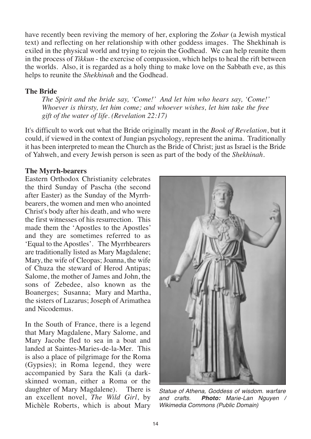have recently been reviving the memory of her, exploring the *Zohar* (a Jewish mystical text) and reflecting on her relationship with other goddess images. The Shekhinah is exiled in the physical world and trying to rejoin the Godhead. We can help reunite them in the process of *Tikkun* - the exercise of compassion, which helps to heal the rift between the worlds. Also, it is regarded as a holy thing to make love on the Sabbath eve, as this helps to reunite the *Shekhinah* and the Godhead.

#### **The Bride**

*The Spirit and the bride say, 'Come!' And let him who hears say, 'Come!' Whoever is thirsty, let him come; and whoever wishes, let him take the free gift of the water of life. (Revelation 22:17)*

It's difficult to work out what the Bride originally meant in the *Book of Revelation*, but it could, if viewed in the context of Jungian psychology, represent the anima. Traditionally it has been interpreted to mean the Church as the Bride of Christ; just as Israel is the Bride of Yahweh, and every Jewish person is seen as part of the body of the *Shekhinah*.

#### **The Myrrh-bearers**

Eastern Orthodox Christianity celebrates the third Sunday of Pascha (the second after Easter) as the Sunday of the Myrrhbearers, the women and men who anointed Christ's body after his death, and who were the first witnesses of his resurrection. This made them the 'Apostles to the Apostles' and they are sometimes referred to as 'Equal to the Apostles'. The Myrrhbearers are traditionally listed as Mary Magdalene; Mary, the wife of Cleopas; Joanna, the wife of Chuza the steward of Herod Antipas; Salome, the mother of James and John, the sons of Zebedee, also known as the Boanerges; Susanna; Mary and Martha, the sisters of Lazarus; Joseph of Arimathea and Nicodemus.

In the South of France, there is a legend that Mary Magdalene, Mary Salome, and Mary Jacobe fled to sea in a boat and landed at Saintes-Maries-de-la-Mer. This is also a place of pilgrimage for the Roma (Gypsies); in Roma legend, they were accompanied by Sara the Kali (a darkskinned woman, either a Roma or the daughter of Mary Magdalene). There is an excellent novel, *The Wild Girl*, by Michèle Roberts, which is about Mary



*Statue of Athena, Goddess of wisdom. warfare and crafts. Photo: Marie-Lan Nguyen / Wikimedia Commons (Public Domain)*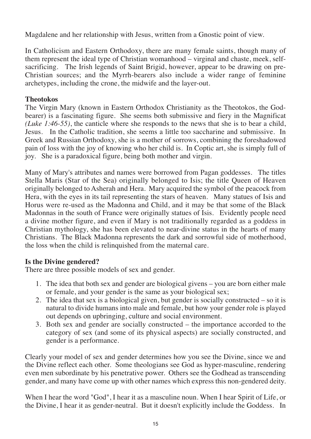Magdalene and her relationship with Jesus, written from a Gnostic point of view.

In Catholicism and Eastern Orthodoxy, there are many female saints, though many of them represent the ideal type of Christian womanhood – virginal and chaste, meek, selfsacrificing. The Irish legends of Saint Brigid, however, appear to be drawing on pre-Christian sources; and the Myrrh-bearers also include a wider range of feminine archetypes, including the crone, the midwife and the layer-out.

### **Theotokos**

The Virgin Mary (known in Eastern Orthodox Christianity as the Theotokos, the Godbearer) is a fascinating figure. She seems both submissive and fiery in the Magnificat *(Luke 1:46-55)*, the canticle where she responds to the news that she is to bear a child, Jesus. In the Catholic tradition, she seems a little too saccharine and submissive. In Greek and Russian Orthodoxy, she is a mother of sorrows, combining the foreshadowed pain of loss with the joy of knowing who her child is. In Coptic art, she is simply full of joy. She is a paradoxical figure, being both mother and virgin.

Many of Mary's attributes and names were borrowed from Pagan goddesses. The titles Stella Maris (Star of the Sea) originally belonged to Isis; the title Queen of Heaven originally belonged to Asherah and Hera. Mary acquired the symbol of the peacock from Hera, with the eyes in its tail representing the stars of heaven. Many statues of Isis and Horus were re-used as the Madonna and Child, and it may be that some of the Black Madonnas in the south of France were originally statues of Isis. Evidently people need a divine mother figure, and even if Mary is not traditionally regarded as a goddess in Christian mythology, she has been elevated to near-divine status in the hearts of many Christians. The Black Madonna represents the dark and sorrowful side of motherhood, the loss when the child is relinquished from the maternal care.

### **Is the Divine gendered?**

There are three possible models of sex and gender.

- 1. The idea that both sex and gender are biological givens you are born either male or female, and your gender is the same as your biological sex;
- 2. The idea that sex is a biological given, but gender is socially constructed so it is natural to divide humans into male and female, but how your gender role is played out depends on upbringing, culture and social environment.
- 3. Both sex and gender are socially constructed the importance accorded to the category of sex (and some of its physical aspects) are socially constructed, and gender is a performance.

Clearly your model of sex and gender determines how you see the Divine, since we and the Divine reflect each other. Some theologians see God as hyper-masculine, rendering even men subordinate by his penetrative power. Others see the Godhead as transcending gender, and many have come up with other names which express this non-gendered deity.

When I hear the word "God", I hear it as a masculine noun. When I hear Spirit of Life, or the Divine, I hear it as gender-neutral. But it doesn't explicitly include the Goddess. In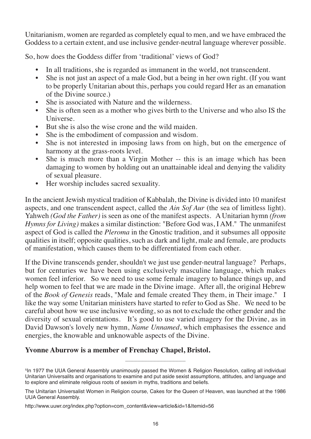Unitarianism, women are regarded as completely equal to men, and we have embraced the Goddess to a certain extent, and use inclusive gender-neutral language wherever possible.

So, how does the Goddess differ from 'traditional' views of God?

- In all traditions, she is regarded as immanent in the world, not transcendent.
- She is not just an aspect of a male God, but a being in her own right. (If you want to be properly Unitarian about this, perhaps you could regard Her as an emanation of the Divine source.)
- She is associated with Nature and the wilderness.
- She is often seen as a mother who gives birth to the Universe and who also IS the Universe.
- But she is also the wise crone and the wild maiden.
- She is the embodiment of compassion and wisdom.
- She is not interested in imposing laws from on high, but on the emergence of harmony at the grass-roots level.
- She is much more than a Virgin Mother -- this is an image which has been damaging to women by holding out an unattainable ideal and denying the validity of sexual pleasure.
- Her worship includes sacred sexuality.

In the ancient Jewish mystical tradition of Kabbalah, the Divine is divided into 10 manifest aspects, and one transcendent aspect, called the *Ain Sof Aur* (the sea of limitless light). Yahweh *(God the Father)* is seen as one of the manifest aspects. A Unitarian hymn *(from Hymns for Living)* makes a similar distinction: "Before God was, I AM." The unmanifest aspect of God is called the *Pleroma* in the Gnostic tradition, and it subsumes all opposite qualities in itself; opposite qualities, such as dark and light, male and female, are products of manifestation, which causes them to be differentiated from each other.

If the Divine transcends gender, shouldn't we just use gender-neutral language? Perhaps, but for centuries we have been using exclusively masculine language, which makes women feel inferior. So we need to use some female imagery to balance things up, and help women to feel that we are made in the Divine image. After all, the original Hebrew of the *Book of Genesis* reads, "Male and female created They them, in Their image." I like the way some Unitarian ministers have started to refer to God as She. We need to be careful about how we use inclusive wording, so as not to exclude the other gender and the diversity of sexual orientations. It's good to use varied imagery for the Divine, as in David Dawson's lovely new hymn, *Name Unnamed*, which emphasises the essence and energies, the knowable and unknowable aspects of the Divine.

### **Yvonne Aburrow is a member of Frenchay Chapel, Bristol.**

–––––––––––––––––––––––––––––––––––

**<sup>1</sup>**In 1977 the UUA General Assembly unanimously passed the Women & Religion Resolution, calling all individual Unitarian Universalits and organisations to examine and put aside sexist assumptions, attitudes, and language and to explore and eliminate religious roots of sexism in myths, traditions and beliefs.

The Unitarian Universalist Women in Religion course, Cakes for the Queen of Heaven, was launched at the 1986 UUA General Assembly.

http://www.uuwr.org/index.php?option=com\_content&view=article&id=1&Itemid=56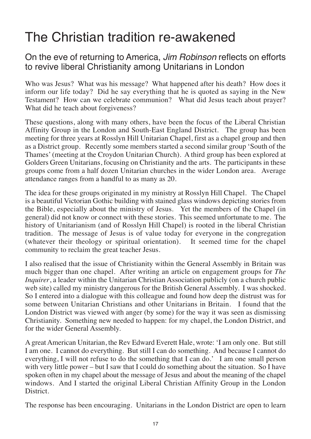# The Christian tradition re-awakened

## On the eve of returning to America, *Jim Robinson* reflects on efforts to revive liberal Christianity among Unitarians in London

Who was Jesus? What was his message? What happened after his death? How does it inform our life today? Did he say everything that he is quoted as saying in the New Testament? How can we celebrate communion? What did Jesus teach about prayer? What did he teach about forgiveness?

These questions, along with many others, have been the focus of the Liberal Christian Affinity Group in the London and South-East England District. The group has been meeting for three years at Rosslyn Hill Unitarian Chapel, first as a chapel group and then as a District group. Recently some members started a second similar group 'South of the Thames'(meeting at the Croydon Unitarian Church). A third group has been explored at Golders Green Unitarians, focusing on Christianity and the arts. The participants in these groups come from a half dozen Unitarian churches in the wider London area. Average attendance ranges from a handful to as many as 20.

The idea for these groups originated in my ministry at Rosslyn Hill Chapel. The Chapel is a beautiful Victorian Gothic building with stained glass windows depicting stories from the Bible, especially about the ministry of Jesus. Yet the members of the Chapel (in general) did not know or connect with these stories. This seemed unfortunate to me. The history of Unitarianism (and of Rosslyn Hill Chapel) is rooted in the liberal Christian tradition. The message of Jesus is of value today for everyone in the congregation (whatever their theology or spiritual orientation). It seemed time for the chapel community to reclaim the great teacher Jesus.

I also realised that the issue of Christianity within the General Assembly in Britain was much bigger than one chapel. After writing an article on engagement groups for *The Inquirer*, a leader within the Unitarian Christian Association publicly (on a church public web site) called my ministry dangerous for the British General Assembly. I was shocked. So I entered into a dialogue with this colleague and found how deep the distrust was for some between Unitarian Christians and other Unitarians in Britain. I found that the London District was viewed with anger (by some) for the way it was seen as dismissing Christianity. Something new needed to happen: for my chapel, the London District, and for the wider General Assembly.

A great American Unitarian, the Rev Edward Everett Hale, wrote: 'I am only one. But still I am one. I cannot do everything. But still I can do something. And because I cannot do everything, I will not refuse to do the something that I can do.' I am one small person with very little power – but I saw that I could do something about the situation. So I have spoken often in my chapel about the message of Jesus and about the meaning of the chapel windows. And I started the original Liberal Christian Affinity Group in the London District.

The response has been encouraging. Unitarians in the London District are open to learn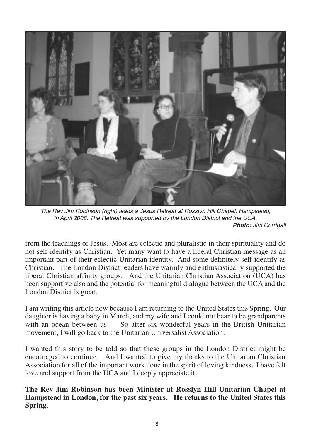

*The Rev Jim Robinson (right) leads a Jesus Retreat at Rosslyn Hill Chapel, Hampstead, in April 2008. The Retreat was supported by the London District and the UCA. Photo: Jim Corrigall*

from the teachings of Jesus. Most are eclectic and pluralistic in their spirituality and do not self-identify as Christian. Yet many want to have a liberal Christian message as an important part of their eclectic Unitarian identity. And some definitely self-identify as Christian. The London District leaders have warmly and enthusiastically supported the liberal Christian affinity groups. And the Unitarian Christian Association (UCA) has been supportive also and the potential for meaningful dialogue between the UCA and the London District is great.

I am writing this article now because I am returning to the United States this Spring. Our daughter is having a baby in March, and my wife and I could not bear to be grandparents with an ocean between us. So after six wonderful vears in the British Unitarian So after six wonderful years in the British Unitarian movement, I will go back to the Unitarian Universalist Association.

I wanted this story to be told so that these groups in the London District might be encouraged to continue. And I wanted to give my thanks to the Unitarian Christian Association for all of the important work done in the spirit of loving kindness. I have felt love and support from the UCA and I deeply appreciate it.

**The Rev Jim Robinson has been Minister at Rosslyn Hill Unitarian Chapel at Hampstead in London, for the past six years. He returns to the United States this Spring.**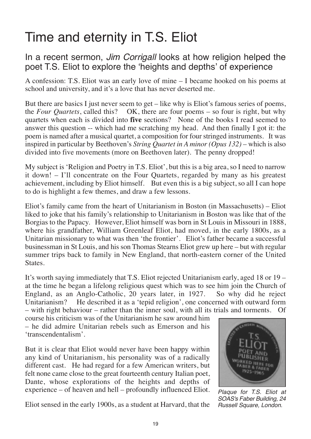# Time and eternity in T.S. Eliot

## In a recent sermon, *Jim Corrigall* looks at how religion helped the poet T.S. Eliot to explore the ʻheights and depths' of experience

A confession: T.S. Eliot was an early love of mine – I became hooked on his poems at school and university, and it's a love that has never deserted me.

But there are basics I just never seem to get – like why is Eliot's famous series of poems, the *Four Quartets*, called this? OK, there are four poems – so four is right, but why quartets when each is divided into **five** sections? None of the books I read seemed to answer this question -- which had me scratching my head. And then finally I got it: the poem is named after a musical quartet, a composition for four stringed instruments. It was inspired in particular by Beethoven's *String Quartet in A minor (Opus 132)* – which is also divided into five movements (more on Beethoven later). The penny dropped!

My subject is 'Religion and Poetry in T.S. Eliot', but this is a big area, so I need to narrow it down! – I'll concentrate on the Four Quartets, regarded by many as his greatest achievement, including by Eliot himself. But even this is a big subject, so all I can hope to do is highlight a few themes, and draw a few lessons.

Eliot's family came from the heart of Unitarianism in Boston (in Massachusetts) – Eliot liked to joke that his family's relationship to Unitarianism in Boston was like that of the Borgias to the Papacy. However, Eliot himself was born in St Louis in Missouri in 1888, where his grandfather, William Greenleaf Eliot, had moved, in the early 1800s, as a Unitarian missionary to what was then 'the frontier'. Eliot's father became a successful businessman in St Louis, and his son Thomas Stearns Eliot grew up here – but with regular summer trips back to family in New England, that north-eastern corner of the United **States**.

It's worth saying immediately that T.S. Eliot rejected Unitarianism early, aged 18 or 19 – at the time he began a lifelong religious quest which was to see him join the Church of England, as an Anglo-Catholic, 20 years later, in 1927. So why did he reject Unitarianism? He described it as a 'tepid religion', one concerned with outward form He described it as a 'tepid religion', one concerned with outward form – with right behaviour – rather than the inner soul, with all its trials and torments. Of

course his criticism was of the Unitarianism he saw around him – he did admire Unitarian rebels such as Emerson and his 'transcendentalism'.

But it is clear that Eliot would never have been happy within any kind of Unitarianism, his personality was of a radically different cast. He had regard for a few American writers, but felt none came close to the great fourteenth century Italian poet, Dante, whose explorations of the heights and depths of experience – of heaven and hell – profoundly influenced Eliot.

Eliot sensed in the early 1900s, as a student at Harvard, that the



*Plaque for T.S. Eliot at SOAS's Faber Building, 24 Russell Square, London.*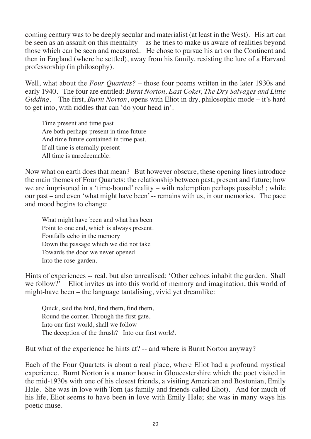coming century was to be deeply secular and materialist (at least in the West). His art can be seen as an assault on this mentality – as he tries to make us aware of realities beyond those which can be seen and measured. He chose to pursue his art on the Continent and then in England (where he settled), away from his family, resisting the lure of a Harvard professorship (in philosophy).

Well, what about the *Four Quartets?* – those four poems written in the later 1930s and early 1940. The four are entitled: *Burnt Norton, East Coker, The Dry Salvages and Little Gidding.* The first, *Burnt Norton*, opens with Eliot in dry, philosophic mode – it's hard to get into, with riddles that can 'do your head in'.

Time present and time past Are both perhaps present in time future And time future contained in time past. If all time is eternally present All time is unredeemable.

Now what on earth does that mean? But however obscure, these opening lines introduce the main themes of Four Quartets: the relationship between past, present and future; how we are imprisoned in a 'time-bound' reality – with redemption perhaps possible! ; while our past – and even 'what might have been'-- remains with us, in our memories. The pace and mood begins to change:

What might have been and what has been Point to one end, which is always present. Footfalls echo in the memory Down the passage which we did not take Towards the door we never opened Into the rose-garden.

Hints of experiences -- real, but also unrealised: 'Other echoes inhabit the garden. Shall we follow?' Eliot invites us into this world of memory and imagination, this world of might-have been – the language tantalising, vivid yet dreamlike:

Quick, said the bird, find them, find them, Round the corner. Through the first gate, Into our first world, shall we follow The deception of the thrush? Into our first worl*d*.

But what of the experience he hints at? -- and where is Burnt Norton anyway?

Each of the Four Quartets is about a real place, where Eliot had a profound mystical experience. Burnt Norton is a manor house in Gloucestershire which the poet visited in the mid-1930s with one of his closest friends, a visiting American and Bostonian, Emily Hale. She was in love with Tom (as family and friends called Eliot). And for much of his life, Eliot seems to have been in love with Emily Hale; she was in many ways his poetic muse.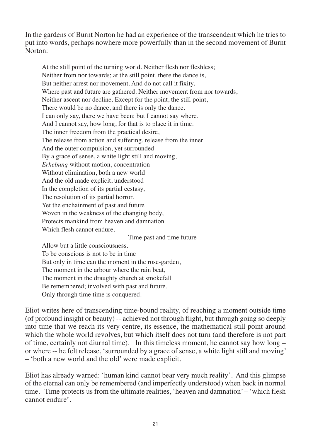In the gardens of Burnt Norton he had an experience of the transcendent which he tries to put into words, perhaps nowhere more powerfully than in the second movement of Burnt Norton:

At the still point of the turning world. Neither flesh nor fleshless; Neither from nor towards; at the still point, there the dance is, But neither arrest nor movement. And do not call it fixity, Where past and future are gathered. Neither movement from nor towards, Neither ascent nor decline. Except for the point, the still point, There would be no dance, and there is only the dance. I can only say, there we have been: but I cannot say where. And I cannot say, how long, for that is to place it in time. The inner freedom from the practical desire, The release from action and suffering, release from the inner And the outer compulsion, yet surrounded By a grace of sense, a white light still and moving, *Erhebung* without motion, concentration Without elimination, both a new world And the old made explicit, understood In the completion of its partial ecstasy, The resolution of its partial horror. Yet the enchainment of past and future Woven in the weakness of the changing body, Protects mankind from heaven and damnation Which flesh cannot endure. Time past and time future

Allow but a little consciousness. To be conscious is not to be in time But only in time can the moment in the rose-garden, The moment in the arbour where the rain beat, The moment in the draughty church at smokefall Be remembered; involved with past and future. Only through time time is conquered.

Eliot writes here of transcending time-bound reality, of reaching a moment outside time (of profound insight or beauty) -- achieved not through flight, but through going so deeply into time that we reach its very centre, its essence, the mathematical still point around which the whole world revolves, but which itself does not turn (and therefore is not part of time, certainly not diurnal time). In this timeless moment, he cannot say how long – or where -- he felt release, 'surrounded by a grace of sense, a white light still and moving' – 'both a new world and the old' were made explicit.

Eliot has already warned: 'human kind cannot bear very much reality'. And this glimpse of the eternal can only be remembered (and imperfectly understood) when back in normal time. Time protects us from the ultimate realities, 'heaven and damnation' – 'which flesh cannot endure'.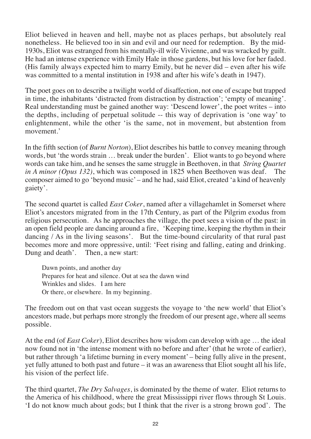Eliot believed in heaven and hell, maybe not as places perhaps, but absolutely real nonetheless. He believed too in sin and evil and our need for redemption. By the mid-1930s, Eliot was estranged from his mentally-ill wife Vivienne, and was wracked by guilt. He had an intense experience with Emily Hale in those gardens, but his love for her faded. (His family always expected him to marry Emily, but he never did – even after his wife was committed to a mental institution in 1938 and after his wife's death in 1947).

The poet goes on to describe a twilight world of disaffection, not one of escape but trapped in time, the inhabitants 'distracted from distraction by distraction'; 'empty of meaning'. Real understanding must be gained another way: 'Descend lower', the poet writes – into the depths, including of perpetual solitude -- this way of deprivation is 'one way' to enlightenment, while the other 'is the same, not in movement, but abstention from movement.'

In the fifth section (of *Burnt Norton*), Eliot describes his battle to convey meaning through words, but 'the words strain … break under the burden'. Eliot wants to go beyond where words can take him, and he senses the same struggle in Beethoven, in that *String Quartet in A minor (Opus 132)*, which was composed in 1825 when Beethoven was deaf. The composer aimed to go 'beyond music' – and he had, said Eliot, created 'a kind of heavenly gaiety'.

The second quartet is called *East Coker*, named after a villagehamlet in Somerset where Eliot's ancestors migrated from in the 17th Century, as part of the Pilgrim exodus from religious persecution. As he approaches the village, the poet sees a vision of the past: in an open field people are dancing around a fire, 'Keeping time, keeping the rhythm in their dancing / As in the living seasons'. But the time-bound circularity of that rural past becomes more and more oppressive, until: 'Feet rising and falling, eating and drinking. Dung and death'. Then, a new start:

Dawn points, and another day Prepares for heat and silence. Out at sea the dawn wind Wrinkles and slides. I am here Or there, or elsewhere. In my beginning.

The freedom out on that vast ocean suggests the voyage to 'the new world' that Eliot's ancestors made, but perhaps more strongly the freedom of our present age, where all seems possible.

At the end (of *East Coker*), Eliot describes how wisdom can develop with age … the ideal now found not in 'the intense moment with no before and after'(that he wrote of earlier), but rather through 'a lifetime burning in every moment' – being fully alive in the present, yet fully attuned to both past and future – it was an awareness that Eliot sought all his life, his vision of the perfect life.

The third quartet, *The Dry Salvages*, is dominated by the theme of water. Eliot returns to the America of his childhood, where the great Mississippi river flows through St Louis. 'I do not know much about gods; but I think that the river is a strong brown god'. The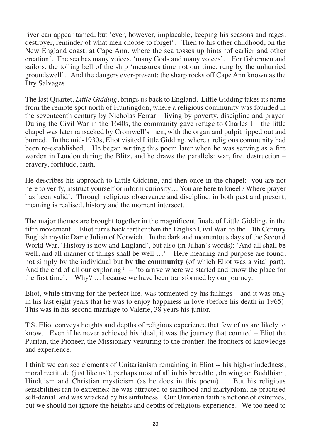river can appear tamed, but 'ever, however, implacable, keeping his seasons and rages, destroyer, reminder of what men choose to forget'. Then to his other childhood, on the New England coast, at Cape Ann, where the sea tosses up hints 'of earlier and other creation'. The sea has many voices, 'many Gods and many voices'. For fishermen and sailors, the tolling bell of the ship 'measures time not our time, rung by the unhurried groundswell'. And the dangers ever-present: the sharp rocks off Cape Ann known as the Dry Salvages.

The last Quartet, *Little Gidding*, brings us back to England. Little Gidding takes its name from the remote spot north of Huntingdon, where a religious community was founded in the seventeenth century by Nicholas Ferrar – living by poverty, discipline and prayer. During the Civil War in the  $1640s$ , the community gave refuge to Charles I – the little chapel was later ransacked by Cromwell's men, with the organ and pulpit ripped out and burned. In the mid-1930s, Eliot visited Little Gidding, where a religious community had been re-established. He began writing this poem later when he was serving as a fire warden in London during the Blitz, and he draws the parallels: war, fire, destruction – bravery, fortitude, faith.

He describes his approach to Little Gidding, and then once in the chapel: 'you are not here to verify, instruct yourself or inform curiosity… You are here to kneel / Where prayer has been valid'. Through religious observance and discipline, in both past and present, meaning is realised, history and the moment intersect.

The major themes are brought together in the magnificent finale of Little Gidding, in the fifth movement. Eliot turns back farther than the English Civil War, to the 14th Century English mystic Dame Julian of Norwich. In the dark and momentous days of the Second World War, 'History is now and England', but also (in Julian's words): 'And all shall be well, and all manner of things shall be well ...' Here meaning and purpose are found, not simply by the individual but **by the community** (of which Eliot was a vital part). And the end of all our exploring? -- 'to arrive where we started and know the place for the first time'. Why? … because we have been transformed by our journey.

Eliot, while striving for the perfect life, was tormented by his failings – and it was only in his last eight years that he was to enjoy happiness in love (before his death in 1965). This was in his second marriage to Valerie, 38 years his junior.

T.S. Eliot conveys heights and depths of religious experience that few of us are likely to know. Even if he never achieved his ideal, it was the journey that counted – Eliot the Puritan, the Pioneer, the Missionary venturing to the frontier, the frontiers of knowledge and experience.

I think we can see elements of Unitarianism remaining in Eliot -- his high-mindedness, moral rectitude (just like us!), perhaps most of all in his breadth: , drawing on Buddhism, Hinduism and Christian mysticism (as he does in this poem). But his religious Hinduism and Christian mysticism (as he does in this poem). sensibilities ran to extremes: he was attracted to sainthood and martyrdom; he practised self-denial, and was wracked by his sinfulness. Our Unitarian faith is not one of extremes, but we should not ignore the heights and depths of religious experience. We too need to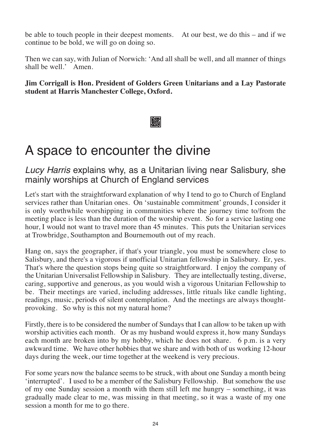be able to touch people in their deepest moments. At our best, we do this – and if we continue to be bold, we will go on doing so.

Then we can say, with Julian of Norwich: 'And all shall be well, and all manner of things shall be well.' Amen.

**Jim Corrigall is Hon. President of Golders Green Unitarians and a Lay Pastorate student at Harris Manchester College, Oxford.**



## A space to encounter the divine

*Lucy Harris* explains why, as a Unitarian living near Salisbury, she mainly worships at Church of England services

Let's start with the straightforward explanation of why I tend to go to Church of England services rather than Unitarian ones. On 'sustainable commitment' grounds, I consider it is only worthwhile worshipping in communities where the journey time to/from the meeting place is less than the duration of the worship event. So for a service lasting one hour, I would not want to travel more than 45 minutes. This puts the Unitarian services at Trowbridge, Southampton and Bournemouth out of my reach.

Hang on, says the geographer, if that's your triangle, you must be somewhere close to Salisbury, and there's a vigorous if unofficial Unitarian fellowship in Salisbury. Er, yes. That's where the question stops being quite so straightforward. I enjoy the company of the Unitarian Universalist Fellowship in Salisbury. They are intellectually testing, diverse, caring, supportive and generous, as you would wish a vigorous Unitarian Fellowship to be. Their meetings are varied, including addresses, little rituals like candle lighting, readings, music, periods of silent contemplation. And the meetings are always thoughtprovoking. So why is this not my natural home?

Firstly, there is to be considered the number of Sundays that I can allow to be taken up with worship activities each month. Or as my husband would express it, how many Sundays each month are broken into by my hobby, which he does not share. 6 p.m. is a very awkward time. We have other hobbies that we share and with both of us working 12-hour days during the week, our time together at the weekend is very precious.

For some years now the balance seems to be struck, with about one Sunday a month being 'interrupted'. I used to be a member of the Salisbury Fellowship. But somehow the use of my one Sunday session a month with them still left me hungry – something, it was gradually made clear to me, was missing in that meeting, so it was a waste of my one session a month for me to go there.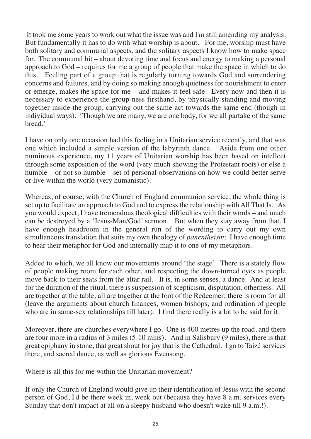It took me some years to work out what the issue was and I'm still amending my analysis. But fundamentally it has to do with what worship is about. For me, worship must have both solitary and communal aspects, and the solitary aspects I know how to make space for. The communal bit – about devoting time and focus and energy to making a personal approach to God – requires for me a group of people that make the space in which to do this. Feeling part of a group that is regularly turning towards God and surrendering concerns and failures, and by doing so making enough quietness for nourishment to enter or emerge, makes the space for me – and makes it feel safe. Every now and then it is necessary to experience the group-ness firsthand, by physically standing and moving together inside the group, carrying out the same act towards the same end (though in individual ways). 'Though we are many, we are one body, for we all partake of the same bread.'

I have on only one occasion had this feeling in a Unitarian service recently, and that was one which included a simple version of the labyrinth dance. Aside from one other numinous experience, my 11 years of Unitarian worship has been based on intellect through some exposition of the word (very much showing the Protestant roots) or else a humble – or not so humble – set of personal observations on how we could better serve or live within the world (very humanistic).

Whereas, of course, with the Church of England communion service, the whole thing is set up to facilitate an approach to God and to express the relationship with All That Is. As you would expect, I have tremendous theological difficulties with their words – and much can be destroyed by a 'Jesus-Man/God' sermon. But when they stay away from that, I have enough headroom in the general run of the wording to carry out my own simultaneous translation that suits my own theology of *panentheism;* I have enough time to hear their metaphor for God and internally map it to one of my metaphors.

Added to which, we all know our movements around 'the stage'. There is a stately flow of people making room for each other, and respecting the down-turned eyes as people move back to their seats from the altar rail. It is, in some senses, a dance. And at least for the duration of the ritual, there is suspension of scepticism, disputation, otherness. All are together at the table; all are together at the foot of the Redeemer; there is room for all (leave the arguments about church finances, women bishops, and ordination of people who are in same-sex relationships till later). I find there really is a lot to be said for it.

Moreover, there are churches everywhere I go. One is 400 metres up the road, and there are four more in a radius of 3 miles (5-10 mins). And in Salisbury (9 miles), there is that great epiphany in stone, that great shout for joy that is the Cathedral. I go to Taizé services there, and sacred dance, as well as glorious Evensong.

Where is all this for me within the Unitarian movement?

If only the Church of England would give up their identification of Jesus with the second person of God, I'd be there week in, week out (because they have 8 a.m. services every Sunday that don't impact at all on a sleepy husband who doesn't wake till 9 a.m.!).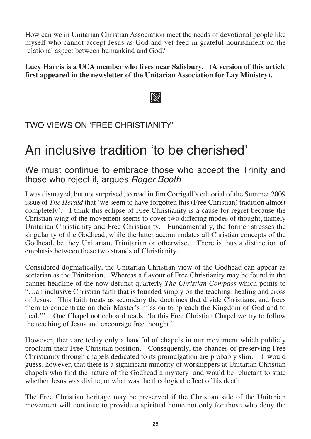How can we in Unitarian Christian Association meet the needs of devotional people like myself who cannot accept Jesus as God and yet feed in grateful nourishment on the relational aspect between humankind and God?

**Lucy Harris is a UCA member who lives near Salisbury. (A version of this article first appeared in the newsletter of the Unitarian Association for Lay Ministry).**



## TWO VIEWS ON ʻFREE CHRISTIANITY'

# An inclusive tradition ʻto be cherished'

## We must continue to embrace those who accept the Trinity and those who reject it, argues *Roger Booth*

I was dismayed, but not surprised, to read in Jim Corrigall's editorial of the Summer 2009 issue of *The Herald* that 'we seem to have forgotten this (Free Christian) tradition almost completely'. I think this eclipse of Free Christianity is a cause for regret because the Christian wing of the movement seems to cover two differing modes of thought, namely Unitarian Christianity and Free Christianity. Fundamentally, the former stresses the singularity of the Godhead, while the latter accommodates all Christian concepts of the Godhead, be they Unitarian, Trinitarian or otherwise. There is thus a distinction of emphasis between these two strands of Christianity.

Considered dogmatically, the Unitarian Christian view of the Godhead can appear as sectarian as the Trinitarian. Whereas a flavour of Free Christianity may be found in the banner headline of the now defunct quarterly *The Christian Compass* which points to "…an inclusive Christian faith that is founded simply on the teaching, healing and cross of Jesus. This faith treats as secondary the doctrines that divide Christians, and frees them to concentrate on their Master's mission to 'preach the Kingdom of God and to heal." One Chapel noticeboard reads: 'In this Free Christian Chapel we try to follow the teaching of Jesus and encourage free thought.'

However, there are today only a handful of chapels in our movement which publicly proclaim their Free Christian position. Consequently, the chances of preserving Free Christianity through chapels dedicated to its promulgation are probably slim. I would guess, however, that there is a significant minority of worshippers at Unitarian Christian chapels who find the nature of the Godhead a mystery and would be reluctant to state whether Jesus was divine, or what was the theological effect of his death.

The Free Christian heritage may be preserved if the Christian side of the Unitarian movement will continue to provide a spiritual home not only for those who deny the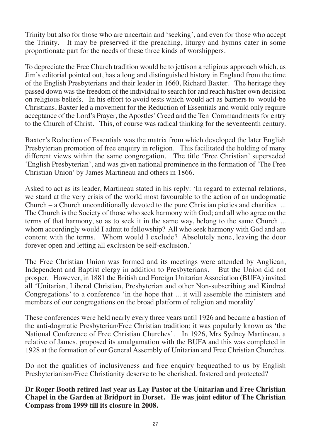Trinity but also for those who are uncertain and 'seeking', and even for those who accept the Trinity. It may be preserved if the preaching, liturgy and hymns cater in some proportionate part for the needs of these three kinds of worshippers.

To depreciate the Free Church tradition would be to jettison a religious approach which, as Jim's editorial pointed out, has a long and distinguished history in England from the time of the English Presbyterians and their leader in 1660, Richard Baxter. The heritage they passed down was the freedom of the individual to search for and reach his/her own decision on religious beliefs. In his effort to avoid tests which would act as barriers to would-be Christians, Baxter led a movement for the Reduction of Essentials and would only require acceptance of the Lord's Prayer, the Apostles' Creed and the Ten Commandments for entry to the Church of Christ. This, of course was radical thinking for the seventeenth century.

Baxter's Reduction of Essentials was the matrix from which developed the later English Presbyterian promotion of free enquiry in religion. This facilitated the holding of many different views within the same congregation. The title 'Free Christian' superseded 'English Presbyterian', and was given national prominence in the formation of 'The Free Christian Union' by James Martineau and others in 1866.

Asked to act as its leader, Martineau stated in his reply: 'In regard to external relations, we stand at the very crisis of the world most favourable to the action of an undogmatic Church – a Church unconditionally devoted to the pure Christian pieties and charities ... The Church is the Society of those who seek harmony with God; and all who agree on the terms of that harmony, so as to seek it in the same way, belong to the same Church ... whom accordingly would I admit to fellowship? All who seek harmony with God and are content with the terms. Whom would I exclude? Absolutely none, leaving the door forever open and letting all exclusion be self-exclusion.'

The Free Christian Union was formed and its meetings were attended by Anglican, Independent and Baptist clergy in addition to Presbyterians. But the Union did not prosper. However, in 1881 the British and Foreign Unitarian Association (BUFA) invited all 'Unitarian, Liberal Christian, Presbyterian and other Non-subscribing and Kindred Congregations' to a conference 'in the hope that ... it will assemble the ministers and members of our congregations on the broad platform of religion and morality'.

These conferences were held nearly every three years until 1926 and became a bastion of the anti-dogmatic Presbyterian/Free Christian tradition; it was popularly known as 'the National Conference of Free Christian Churches'. In 1926, Mrs Sydney Martineau, a relative of James, proposed its amalgamation with the BUFA and this was completed in 1928 at the formation of our General Assembly of Unitarian and Free Christian Churches.

Do not the qualities of inclusiveness and free enquiry bequeathed to us by English Presbyterianism/Free Christianity deserve to be cherished, fostered and protected?

**Dr Roger Booth retired last year as Lay Pastor at the Unitarian and Free Christian Chapel in the Garden at Bridport in Dorset. He was joint editor of The Christian Compass from 1999 till its closure in 2008.**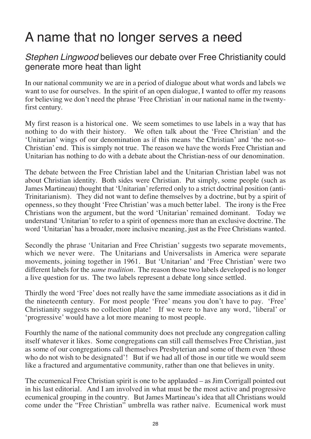# A name that no longer serves a need

## *Stephen Lingwood* believes our debate over Free Christianity could generate more heat than light

In our national community we are in a period of dialogue about what words and labels we want to use for ourselves. In the spirit of an open dialogue, I wanted to offer my reasons for believing we don't need the phrase 'Free Christian'in our national name in the twentyfirst century.

My first reason is a historical one. We seem sometimes to use labels in a way that has nothing to do with their history. We often talk about the 'Free Christian' and the 'Unitarian' wings of our denomination as if this means 'the Christian' and 'the not-so-Christian' end. This is simply not true. The reason we have the words Free Christian and Unitarian has nothing to do with a debate about the Christian-ness of our denomination.

The debate between the Free Christian label and the Unitarian Christian label was not about Christian identity. Both sides were Christian. Put simply, some people (such as James Martineau) thought that 'Unitarian'referred only to a strict doctrinal position (anti-Trinitarianism). They did not want to define themselves by a doctrine, but by a spirit of openness, so they thought 'Free Christian'was a much better label. The irony is the Free Christians won the argument, but the word 'Unitarian' remained dominant. Today we understand 'Unitarian'to refer to a spirit of openness more than an exclusive doctrine. The word 'Unitarian' has a broader, more inclusive meaning, just as the Free Christians wanted.

Secondly the phrase 'Unitarian and Free Christian' suggests two separate movements, which we never were. The Unitarians and Universalists in America were separate movements, joining together in 1961. But 'Unitarian' and 'Free Christian' were two different labels for the *same tradition*. The reason those two labels developed is no longer a live question for us. The two labels represent a debate long since settled.

Thirdly the word 'Free' does not really have the same immediate associations as it did in the nineteenth century. For most people 'Free' means you don't have to pay. 'Free' Christianity suggests no collection plate! If we were to have any word, 'liberal' or 'progressive' would have a lot more meaning to most people.

Fourthly the name of the national community does not preclude any congregation calling itself whatever it likes. Some congregations can still call themselves Free Christian, just as some of our congregations call themselves Presbyterian and some of them even 'those who do not wish to be designated'! But if we had all of those in our title we would seem like a fractured and argumentative community, rather than one that believes in unity.

The ecumenical Free Christian spirit is one to be applauded – as Jim Corrigall pointed out in his last editorial. And I am involved in what must be the most active and progressive ecumenical grouping in the country. But James Martineau's idea that all Christians would come under the "Free Christian" umbrella was rather naïve. Ecumenical work must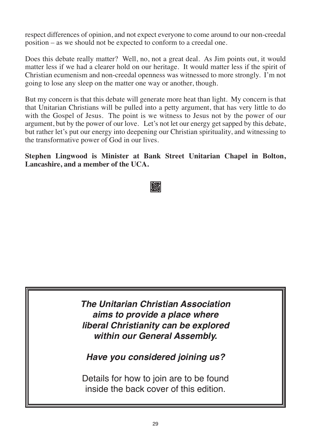respect differences of opinion, and not expect everyone to come around to our non-creedal position – as we should not be expected to conform to a creedal one.

Does this debate really matter? Well, no, not a great deal. As Jim points out, it would matter less if we had a clearer hold on our heritage. It would matter less if the spirit of Christian ecumenism and non-creedal openness was witnessed to more strongly. I'm not going to lose any sleep on the matter one way or another, though.

But my concern is that this debate will generate more heat than light. My concern is that that Unitarian Christians will be pulled into a petty argument, that has very little to do with the Gospel of Jesus. The point is we witness to Jesus not by the power of our argument, but by the power of our love. Let's not let our energy get sapped by this debate, but rather let's put our energy into deepening our Christian spirituality, and witnessing to the transformative power of God in our lives.

**Stephen Lingwood is Minister at Bank Street Unitarian Chapel in Bolton, Lancashire, and a member of the UCA.**

m

*The Unitarian Christian Association aims to provide a place where liberal Christianity can be explored within our General Assembly.*

*Have you considered joining us?*

Details for how to join are to be found inside the back cover of this edition.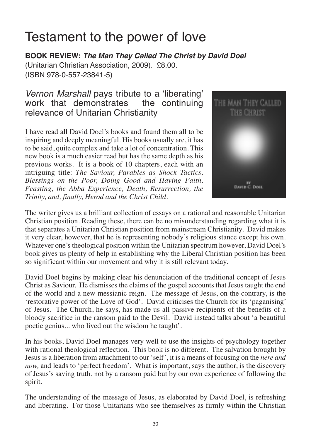# Testament to the power of love

**BOOK REVIEW:** *The Man They Called The Christ by David Doel* (Unitarian Christian Association, 2009). £8.00.

(ISBN 978-0-557-23841-5)

## *Vernon Marshall* pays tribute to a ʻliberating' work that demonstrates relevance of Unitarian Christianity

I have read all David Doel's books and found them all to be inspiring and deeply meaningful. His books usually are, it has to be said, quite complex and take a lot of concentration. This new book is a much easier read but has the same depth as his previous works. It is a book of 10 chapters, each with an intriguing title: *The Saviour, Parables as Shock Tactics, Blessings on the Poor, Doing Good and Having Faith, Feasting, the Abba Experience, Death, Resurrection, the Trinity, and, finally, Herod and the Christ Child.*



The writer gives us a brilliant collection of essays on a rational and reasonable Unitarian Christian position. Reading these, there can be no misunderstanding regarding what it is that separates a Unitarian Christian position from mainstream Christianity. David makes it very clear, however, that he is representing nobody's religious stance except his own. Whatever one's theological position within the Unitarian spectrum however, David Doel's book gives us plenty of help in establishing why the Liberal Christian position has been so significant within our movement and why it is still relevant today.

David Doel begins by making clear his denunciation of the traditional concept of Jesus Christ as Saviour. He dismisses the claims of the gospel accounts that Jesus taught the end of the world and a new messianic reign. The message of Jesus, on the contrary, is the 'restorative power of the Love of God'. David criticises the Church for its 'paganising' of Jesus. The Church, he says, has made us all passive recipients of the benefits of a bloody sacrifice in the ransom paid to the Devil. David instead talks about 'a beautiful poetic genius... who lived out the wisdom he taught'.

In his books, David Doel manages very well to use the insights of psychology together with rational theological reflection. This book is no different. The salvation brought by Jesus is a liberation from attachment to our 'self', it is a means of focusing on the *here and now,* and leads to 'perfect freedom'. What is important, says the author, is the discovery of Jesus's saving truth, not by a ransom paid but by our own experience of following the spirit.

The understanding of the message of Jesus, as elaborated by David Doel, is refreshing and liberating. For those Unitarians who see themselves as firmly within the Christian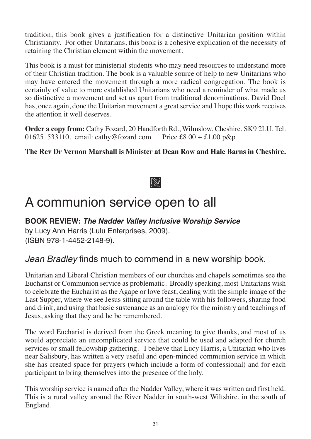tradition, this book gives a justification for a distinctive Unitarian position within Christianity. For other Unitarians, this book is a cohesive explication of the necessity of retaining the Christian element within the movement.

This book is a must for ministerial students who may need resources to understand more of their Christian tradition. The book is a valuable source of help to new Unitarians who may have entered the movement through a more radical congregation. The book is certainly of value to more established Unitarians who need a reminder of what made us so distinctive a movement and set us apart from traditional denominations. David Doel has, once again, done the Unitarian movement a great service and I hope this work receives the attention it well deserves.

**Order a copy from:** Cathy Fozard, 20 Handforth Rd., Wilmslow, Cheshire. SK9 2LU. Tel. 01625 533110. email: cathy@fozard.com Price £8.00 + £1.00 p&p

### **The Rev Dr Vernon Marshall is Minister at Dean Row and Hale Barns in Cheshire.**



# A communion service open to all

**BOOK REVIEW:** *The Nadder Valley Inclusive Worship Service* by Lucy Ann Harris (Lulu Enterprises, 2009). (ISBN 978-1-4452-2148-9).

## *Jean Bradley* finds much to commend in a new worship book.

Unitarian and Liberal Christian members of our churches and chapels sometimes see the Eucharist or Communion service as problematic. Broadly speaking, most Unitarians wish to celebrate the Eucharist as the Agape or love feast, dealing with the simple image of the Last Supper, where we see Jesus sitting around the table with his followers, sharing food and drink, and using that basic sustenance as an analogy for the ministry and teachings of Jesus, asking that they and he be remembered.

The word Eucharist is derived from the Greek meaning to give thanks, and most of us would appreciate an uncomplicated service that could be used and adapted for church services or small fellowship gathering. I believe that Lucy Harris, a Unitarian who lives near Salisbury, has written a very useful and open-minded communion service in which she has created space for prayers (which include a form of confessional) and for each participant to bring themselves into the presence of the holy.

This worship service is named after the Nadder Valley, where it was written and first held. This is a rural valley around the River Nadder in south-west Wiltshire, in the south of England.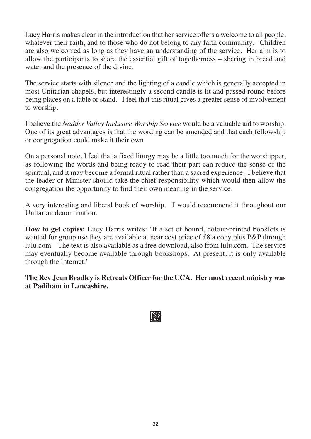Lucy Harris makes clear in the introduction that her service offers a welcome to all people, whatever their faith, and to those who do not belong to any faith community. Children are also welcomed as long as they have an understanding of the service. Her aim is to allow the participants to share the essential gift of togetherness – sharing in bread and water and the presence of the divine.

The service starts with silence and the lighting of a candle which is generally accepted in most Unitarian chapels, but interestingly a second candle is lit and passed round before being places on a table or stand. I feel that this ritual gives a greater sense of involvement to worship.

I believe the *Nadder Valley Inclusive Worship Service* would be a valuable aid to worship. One of its great advantages is that the wording can be amended and that each fellowship or congregation could make it their own.

On a personal note, I feel that a fixed liturgy may be a little too much for the worshipper, as following the words and being ready to read their part can reduce the sense of the spiritual, and it may become a formal ritual rather than a sacred experience. I believe that the leader or Minister should take the chief responsibility which would then allow the congregation the opportunity to find their own meaning in the service.

A very interesting and liberal book of worship. I would recommend it throughout our Unitarian denomination.

**How to get copies:** Lucy Harris writes: 'If a set of bound, colour-printed booklets is wanted for group use they are available at near cost price of £8 a copy plus P&P through lulu.com The text is also available as a free download, also from lulu.com. The service may eventually become available through bookshops. At present, it is only available through the Internet.'

**The Rev Jean Bradley is Retreats Officer for the UCA. Her most recent ministry was at Padiham in Lancashire.**

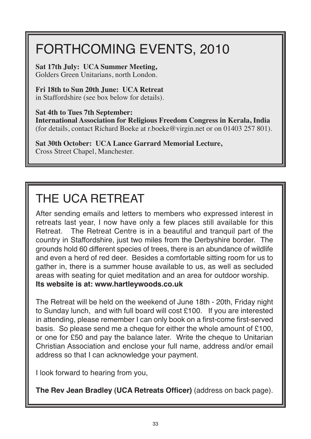# FORTHCOMING EVENTS, 2010

**Sat 17th July: UCA Summer Meeting,** Golders Green Unitarians, north London.

**Fri 18th to Sun 20th June: UCA Retreat** in Staffordshire (see box below for details).

**Sat 4th to Tues 7th September: International Association for Religious Freedom Congress in Kerala, India** (for details, contact Richard Boeke at r.boeke@virgin.net or on 01403 257 801).

**Sat 30th October: UCA Lance Garrard Memorial Lecture,** Cross Street Chapel, Manchester.

# THE UCA RETREAT

After sending emails and letters to members who expressed interest in retreats last year, I now have only a few places still available for this Retreat. The Retreat Centre is in a beautiful and tranquil part of the country in Staffordshire, just two miles from the Derbyshire border. The grounds hold 60 different species of trees, there is an abundance of wildlife and even a herd of red deer. Besides a comfortable sitting room for us to gather in, there is a summer house available to us, as well as secluded areas with seating for quiet meditation and an area for outdoor worship. **Its website is at: www.hartleywoods.co.uk**

The Retreat will be held on the weekend of June 18th - 20th, Friday night to Sunday lunch, and with full board will cost £100. If you are interested in attending, please remember I can only book on a first-come first-served basis. So please send me a cheque for either the whole amount of £100, or one for £50 and pay the balance later. Write the cheque to Unitarian Christian Association and enclose your full name, address and/or email address so that I can acknowledge your payment.

I look forward to hearing from you,

**The Rev Jean Bradley (UCA Retreats Officer)** (address on back page).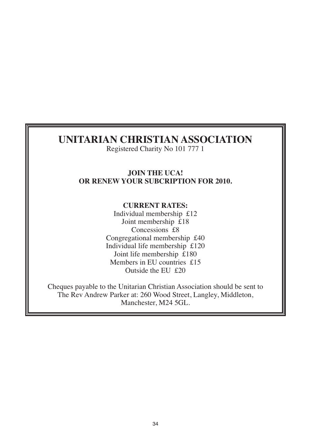## **UNITARIAN CHRISTIAN ASSOCIATION**

Registered Charity No 101 777 1

#### **JOIN THE UCA! OR RENEW YOUR SUBCRIPTION FOR 2010.**

#### **CURRENT RATES:**

Individual membership £12 Joint membership £18 Concessions £8 Congregational membership £40 Individual life membership £120 Joint life membership £180 Members in EU countries £15 Outside the EU £20

Cheques payable to the Unitarian Christian Association should be sent to The Rev Andrew Parker at: 260 Wood Street, Langley, Middleton, Manchester, M24 5GL.